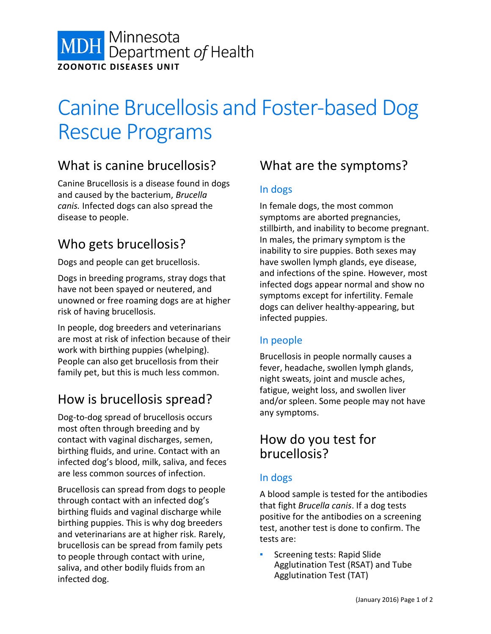

# Canine Brucellosis and Foster-based Dog Rescue Programs

# What is canine brucellosis?

Canine Brucellosis is a disease found in dogs and caused by the bacterium, *Brucella canis.* Infected dogs can also spread the disease to people.

## Who gets brucellosis?

Dogs and people can get brucellosis.

Dogs in breeding programs, stray dogs that have not been spayed or neutered, and unowned or free roaming dogs are at higher risk of having brucellosis.

In people, dog breeders and veterinarians are most at risk of infection because of their work with birthing puppies (whelping). People can also get brucellosis from their family pet, but this is much less common.

# How is brucellosis spread?

Dog-to-dog spread of brucellosis occurs most often through breeding and by contact with vaginal discharges, semen, birthing fluids, and urine. Contact with an infected dog's blood, milk, saliva, and feces are less common sources of infection.

Brucellosis can spread from dogs to people through contact with an infected dog's birthing fluids and vaginal discharge while birthing puppies. This is why dog breeders and veterinarians are at higher risk. Rarely, brucellosis can be spread from family pets to people through contact with urine, saliva, and other bodily fluids from an infected dog.

# What are the symptoms?

### In dogs

In female dogs, the most common symptoms are aborted pregnancies, stillbirth, and inability to become pregnant. In males, the primary symptom is the inability to sire puppies. Both sexes may have swollen lymph glands, eye disease, and infections of the spine. However, most infected dogs appear normal and show no symptoms except for infertility. Female dogs can deliver healthy-appearing, but infected puppies.

## In people

Brucellosis in people normally causes a fever, headache, swollen lymph glands, night sweats, joint and muscle aches, fatigue, weight loss, and swollen liver and/or spleen. Some people may not have any symptoms.

## How do you test for brucellosis?

## In dogs

A blood sample is tested for the antibodies that fight *Brucella canis*. If a dog tests positive for the antibodies on a screening test, another test is done to confirm. The tests are:

Screening tests: Rapid Slide Agglutination Test (RSAT) and Tube Agglutination Test (TAT)